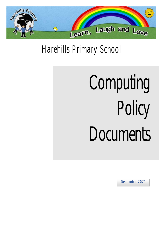

# Harehills Primary School

# Computing Policy **Documents**

September 2021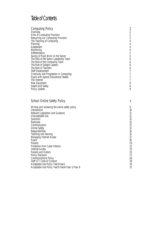# Table of Contents

| <b>Computing Policy</b><br>Overview<br>Aims of Computing Provision<br>Resourcing our Computing Provision<br>The Teaching of Computing<br>Planning<br>Assessment<br>Monitoring<br>Differentiation<br>Saving of Pupil Work on the Server<br>The Role of the Senior Leadership Team<br>The Role of the Computing Team<br>The Role of Subject Leaders<br>The Role of Teachers<br>Staff Development<br>Continuity and Progression in Computing<br>Pupils with Special Educational Needs<br>The Internet<br>New Equipment<br>Health and Safety<br>Policy Update | 2<br>$\begin{array}{c}\n2 \\ 2 \\ 3 \\ 4\n\end{array}$<br>$\overline{4}$<br>$\sqrt{4}$<br>$\overline{4}$<br>5<br>5<br>6<br>6<br>6<br>6<br>7<br>7<br>7<br>7<br>8<br>8<br>8 |
|-----------------------------------------------------------------------------------------------------------------------------------------------------------------------------------------------------------------------------------------------------------------------------------------------------------------------------------------------------------------------------------------------------------------------------------------------------------------------------------------------------------------------------------------------------------|---------------------------------------------------------------------------------------------------------------------------------------------------------------------------|
| School Online Safety Policy                                                                                                                                                                                                                                                                                                                                                                                                                                                                                                                               | 9                                                                                                                                                                         |
| Writing and reviewing the online safety policy<br>Introduction<br>Relevant Legislation and Guidance<br>Unacceptable Use<br>Sanctions<br>Rationale<br>Communication<br>Online Safety<br>Responsibilities<br>Teaching and learning<br>Managing Internet Access<br>Pupils<br>Parents<br>Protection from Cyber Attacks<br><b>Internet Access</b><br>Parents and Visitors<br><b>Policy Decisions</b><br><b>Communications Policy</b><br>Staff ICT Code of Conduct<br>Acceptable Use Policy Year1/Year2<br>Acceptable Use Policy Year3/Year4/Year 5/Year 6      | 9<br>10<br>11<br>11<br>13<br>13<br>13<br>13<br>14<br>15<br>17<br>19<br>20<br>21<br>25<br>25<br>27<br>28<br>29<br>30<br>31                                                 |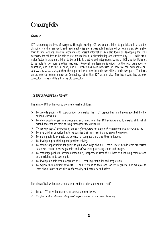# Computing Policy

#### Overview

ICT is changing the lives of everyone. Through teaching ICT, we equip children to participate in a rapidlychanging world where work and leisure activities are increasingly transformed by technology. We enable them to find, explore, analyse, exchange and present information. We also focus on developing the skills necessary for children to be able to use information in a discriminating and effective way. ICT skills are a major factor in enabling children to be confident, creative and independent learners. ICT also facilitates us to be able to be more effective teachers. Personalising learning is critical to the next generation of education, and with this in mind, our ICT Policy has been refocused on how we can personalise our children's learning and give them the opportunities to develop their own skills at their own pace. The focus on the new curriculum is now on Computing, rather than ICT as a whole. This has meant that the new curriculum is vastly different to the old curriculum.

#### The aims of the current ICT Provision

The aims of ICT within our school are to enable children:

- $\triangleright$  To provide pupils with opportunities to develop their ICT capabilities in all areas specified by the national curriculum.
- $\triangleright$  To allow pupils to gain confidence and enjoyment from their ICT activities and to develop skills which extend and enhance their learning throughout the curriculum.
- $\triangleright$  To develop pupils' awareness of the use of computers not only in the classroom, but in everyday life.
- $\triangleright$  To give children opportunities to personalise their own learning and assess themselves.
- $\triangleright$  To allow pupils to evaluate the potential of computers and also their limitations.
- $\triangleright$  To develop logical thinking and problem solving.
- $\triangleright$  To provide opportunities for pupils to gain knowledge about ICT tools. These include word-processors, databases, control devices, graphics and software for processing sound and images.
- ➢ To encourage pupils to become autonomous, independent users of ICT both as a learning resource and as a discipline in its own right.
- $\triangleright$  To develop a whole school approach to ICT ensuring continuity and progression.
- ➢ To explore their attitudes towards ICT and its value to them and society in general. For example, to learn about issues of security, confidentiality and accuracy and safety.

The aims of ICT within our school are to enable teachers and support staff:

- $\triangleright$  To use ICT to enable teachers to raise attainment levels.
- $\triangleright$  To give teachers the tools they need to personalise our children's learning.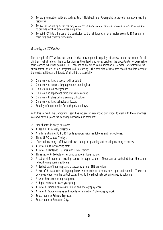- ➢ To use presentation software such as Smart Notebook and Powerpoint to provide interactive teaching resources.
- > To use the wealth of online learning resources to stimulate our children's interest in their learning and to provide for their different learning styles.
- ➢ To build ICT into all areas of the curriculum so that children can have regular access to ICT as part of their core and creative curriculum.

#### Resourcing our ICTProvision

The strength of ICT within our school is that it can provide equality of access to the curriculum for all children - which allows them to function as their level and gives teachers the opportunity to personalise their learning wherever possible. ICT can act as an aid to communication or a means of controlling their environment, as well as an integrated aid to learning. The provision of resources should take into account the needs, abilities and interests of all children, especially:

- $\triangleright$  Children who have a special skill or talent.
- $\triangleright$  Children who speak a language other than English.
- $\triangleright$  Children from all backgrounds.
- $\triangleright$  Children who experience difficulties with learning.
- $\triangleright$  Children with physical and sensory difficulties.
- $\triangleright$  Children who have behavioural issues.
- $\triangleright$  Equality of opportunities for both girls and boys.

With this in mind, the Computing Team has focused on resourcing our school to deal with these priorities. We now have in place the following hardware and software:

- ➢ Smartboards in every classroom.
- $\triangleright$  At least 1 PC in every classroom.
- ➢ A fully functioning 30 PC ICT Suite equipped with headphones and microphones.
- $\triangleright$  Three 16 PC Laptop Trolleys.
- ➢ If needed, teaching staff have their own laptop for planning and creating teaching resources.
- $\triangleright$  A set of iPads for teaching staff
- $\triangleright$  A set of 16 Nintendo DS Lites with Brain Training.
- ➢ Three sets of 6 Beebots for teaching control in lower school.
- $\triangleright$  A set of 6 Probots for teaching control in upper school. These can be controlled from the school network using specific software.
- $\triangleright$  A Beebot set of floor maps and accessories for our SEN provision.
- $\triangleright$  A set of 6 data control logging boxes which monitor temperature, light and sound. These can download data from the control boxes direct to the school network using specific software.
- $\triangleright$  A set of heart monitoring equipment.
- $\triangleright$  A digital camera for each year group.
- $\triangleright$  A set of 6 Digiblue cameras for video and photography work.
- ➢ A set of 6 Digital cameras and tripods for animation / photography work.
- ➢ Subscription to Primary Espresso.
- ➢ Subscription to Education City.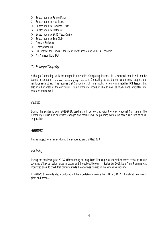- ➢ Subscription to Purple Mash
- ➢ Subscription to Mathletics.
- ➢ Subscription to Hamilton Trust,
- ➢ Subscription to Testbase.
- ➢ Subscription to SATS Tests Online
- $\triangleright$  Subscription to Bug Club.
- ➢ Penpals Software
- ➢ Descriptosaurus
- $\geq$  30 Licenses for Clicker 5 for use in lower school and with EAL children.
- ➢ An Amazon Echo Dot

#### The Teaching of Computing

Although Computing skills are taught in timetabled Computing lessons - it is expected that it will not be taught in isolation. Children's learning experiences in Computing across the curriculum must support and reinforce each other. This requires that Computing skills are taught, not only in timetabled ICT lessons, but also in other areas of the curriculum. Our Computing provision should now be much more integrated into core and theme work.

#### Planning

During the academic year 2018-2019, teachers will be working with the New National Curriculum. The Computing Curriculum has vastly changed and teachers will be planning within the new curriculum as much as possible.

#### Assessment

This is subject to a review during the academic year, 2019/2020

#### Monitoring

During the academic year 2017/2018monitoring of Long Term Planning was undertaken across school to ensure coverage of key curriculum areas in lessons and throughout the year. In September 2018, Long Term Planning was monitored again to check that planning meets the objectives covered in the national curriculum.

In 2018-2019 more detailed monitoring will be undertaken to ensure that LTP and MTP is translated into weekly plans and lessons.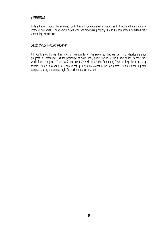#### Differentiation

Differentiation should be achieved both through differentiated activities and through differentiation of intended outcomes. For example pupils who are progressing rapidly should be encouraged to extend their Computing experiences.

#### Saving of Pupil Work on the Server

All pupils should save their work systematically on the server so that we can track developing pupil progress in Computing. At the beginning of every year, pupils should set up a new folder, to save their work, from that year. Year 1 & 2 teachers may wish to ask the Computing Team to help them to set up folders. Pupils in Years  $3 \ge 6$  should set up their own folders in their own areas. Children can log onto computers using the unique login for each computer in school.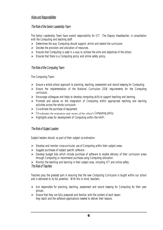#### Roles and Responsibilities

#### The Role of the Senior Leadership Team

The Senior Leadership Team have overall responsibility for ICT. The Deputy Headteacher, in consultation with the Computing and teaching staff:

- ➢ Determines the way Computing should support, enrich and extend the curriculum.
- $\triangleright$  Decides the provision and allocation of resources.
- ➢ Ensures that Computing is used in a way to achieve the aims and objectives of the school.
- $\triangleright$  Ensures that there is a Computing policy and online safety policy.

#### The Role of the Computing Team

The Computing Team:

- ➢ Ensure a whole school approach to planning, teaching, assessment and record keeping for Computing.
- ➢ Ensure the implementation of the National Curriculum 2014 requirements for the Computing curriculum.
- ➢ Encourage colleagues and helps to develop computing skills to support teaching and learning.
- ➢ Promote and advise on the integration of Computing within appropriate teaching and learning activities across the whole curriculum.
- $\triangleright$  Co-ordinate the purchase of equipment.
- $\triangleright$  Co-ordinates the evaluation and review of the school's Computing policy.
- $\triangleright$  Highlights areas for development of Computing within the HAPI.

#### The Role of Subject Leaders

Subject leaders should, as part of their subject co-ordination:

- ➢ Develop and monitor cross-curricular use of Computing within their subject areas
- $\triangleright$  Suggest purchases of subject specific software.
- ➢ Develop budget bids which include purchase of software to enable delivery of their curriculum areas through Computing or recommend purchase using Computing allocation.
- ➢ Monitor the teaching and learning in their subject area, including ICT and online safety.

#### The Role of Teachers

Teachers play the greatest part in ensuring that the new Computing Curriculum is taught within our school and is delivered to its full potential. With this in mind, teachers:

- ➢ Are responsible for planning, teaching, assessment and record keeping for Computing for their year groups.
- $\triangleright$  Ensure that they are fully prepared and familiar with the content of each lesson they teach and the software applications needed to deliver their lessons.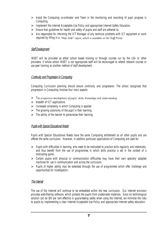- ➢ Assist the Computing co-ordinator and Team in the monitoring and recording of pupil progress in Computing.
- ➢ Implement the Internet Acceptable Use Policy and appropriate Internet Safety Education.
- $\triangleright$  Ensure that guidelines for health and safety of pupils and staff are adhered to.
- ➢ Are responsible for informing the ICT Manager of any technical problems with ICT equipment or work required by filling in a "Help Desk" report, which is available on the Staff Portal.

#### Staff Development

INSET will be provided as either school based training or through courses run by the LEA or other providers. If whole school INSET is not appropriate staff will be encouraged to attend relevant courses or use peer training as another method of staff development.

#### Continuity and Progression in Computing

Computing Curriculum planning should ensure continuity and progression. The school recognises that progression in Computing involves four main aspects:

- $\triangleright$  The progressive development of pupils' skills, knowledge and understanding
- $\triangleright$  breadth of ICT applications
- $\triangleright$  Increased complexity in which Computing is applied
- $\triangleright$  The growing autonomy of the pupil in their learning.
- $\triangleright$  The ability of the learner to personalise their learning.

#### Pupils with Special Educational Needs

Pupils with Special Educational Needs have the same Computing entitlement as all other pupils and are offered the same curriculum. However, in addition particular applications of Computing are used for:

- $\triangleright$  Pupils with difficulties in learning, who need to be motivated to practice skills regularly and intensively, and thus benefit from the use of programmes in which skills practice is set in the context of a motivating game.
- $\triangleright$  Certain pupils with physical or communication difficulties may have their own specially adapted machines for use in communication and across the curriculum.
- ➢ Pupils of higher ability may be extended through the use of programmes which offer challenge and opportunities for investigation.

#### The Internet

The use of the Internet will continue to be embedded within the new curriculum. Our internet provision provides web-filtering software, which protects the pupils from undesirable materials. Since no technological solution can be 100 per cent effective in guaranteeing safety when using the Internet, we minimise the risks to pupils by implementing a clear Internet Acceptable Use Policy and appropriate Internet safety education.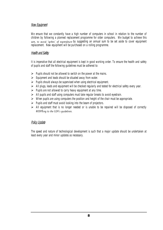#### New Equipment

We ensure that we constantly have a high number of computers in school in relation to the number of children by following a planned replacement programme for older computers. We budget to achieve this aim, to avoid 'spikes' of expenditure by suggesting an annual sum to be set aside to cover equipment replacement. New equipment will be purchased on a rolling programme.

#### Health and Safety

It is imperative that all electrical equipment is kept in good working order. To ensure the health and safety of pupils and staff the following guidelines must be adhered to:

- $\triangleright$  Pupils should not be allowed to switch on the power at the mains.
- $\triangleright$  Equipment and leads should be situated away from water.
- $\triangleright$  Pupils should always be supervised when using electrical equipment.
- ➢ All plugs, leads and equipment will be checked regularly and tested for electrical safety every year.
- $\triangleright$  Pupils are not allowed to carry heavy equipment at any time.
- ➢ All pupils and staff using computers must take regular breaks to avoid eyestrain.
- $\triangleright$  When pupils are using computers the position and height of the chair must be appropriate.
- $\triangleright$  Pupils and staff must avoid looking into the beam of projectors.
- ➢ All equipment that is no longer needed or is unable to be repaired will be disposed of correctly according to the LEA's quidelines.

#### Policy Update

The speed and nature of technological development is such that a major update should be undertaken at least every year and minor updates as necessary.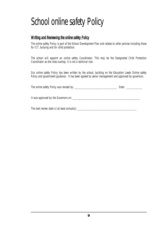# School online safety Policy

## Writing and Reviewing the online safety Policy

The online safety Policy is part of the School Development Plan and relates to other policies including those for ICT, bullying and for child protection.

The school will appoint an online safety Coordinator. This may be the Designated Child Protection Coordinator as the roles overlap. It is not a technical role.

Our online safety Policy has been written by the school, building on the Education Leeds Online safety Policy and government guidance. It has been agreed by senior management and approved by governors.

The online safety Policy was revised by: \_\_\_\_\_\_\_\_\_\_\_\_\_\_\_\_\_\_\_\_\_\_\_\_\_\_ Date: \_\_\_\_\_\_\_\_\_\_

It was approved by the Governors on:

The next review date is (at least annually): \_\_\_\_\_\_\_\_\_\_\_\_\_\_\_\_\_\_\_\_\_\_\_\_\_\_\_\_\_\_\_\_\_\_\_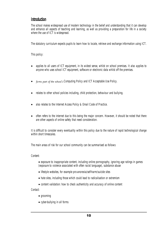#### **Introduction**

The school makes widespread use of modern technology in the belief and understanding that it can develop and enhance all aspects of teaching and learning, as well as providing a preparation for life in a society where the use of ICT is widespread.

The statutory curriculum expects pupils to learn how to locate, retrieve and exchange information using ICT.

This policy:

- applies to all users of ICT equipment, in its widest sense, whilst on school premises. It also applies to anyone who uses school ICT equipment, software or electronic data whilst off the premises.
- forms part of the school's Computing Policy and ICT Acceptable Use Policy.
- relates to other school policies including, child protection, behaviour and bullying.
- also relates to the Internet Access Policy & Email Code of Practice.
- often refers to the internet due to this being the major concern. However, it should be noted that there are other aspects of online safety that need consideration.

It is difficult to consider every eventuality within this policy due to the nature of rapid technological change within short timescales.

The main areas of risk for our school community can be summarised as follows:

Content:

- exposure to inappropriate content, including online pornography, ignoring age ratings in games (exposure to violence associated with often racist language), substance abuse
- lifestyle websites, for example pro-anorexia/self-harm/suicide sites
- hate sites, including those which could lead to radicalisation or extremism
- content validation: how to check authenticity and accuracy of online content

Contact:

- grooming
- cyber-bullying in all forms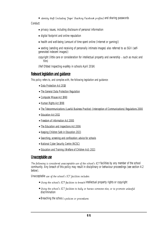• identity theft (including 'frape' (hacking Facebook profiles) and sharing passwords

Conduct:

- privacy issues, including disclosure of personal information
- digital footprint and online reputation
- health and well-being (amount of time spent online (Internet or gaming))
- sexting (sending and receiving of personally intimate images) also referred to as SGII (selfgenerated indecent images))
- copyright (little care or consideration for intellectual property and ownership  $-$  such as music and film)

(Ref Ofsted Inspecting e-safety in schools April 2014)

## Relevant legislation and guidance

This policy refers to, and complies with, the following legislation and guidance:

- [Data Protection Act 2018](http://www.legislation.gov.uk/ukpga/2018/12/contents/enacted)
- [The General Data Protection Regulation](https://eur-lex.europa.eu/legal-content/EN/TXT/HTML/?uri=CELEX:32016R0679)
- [Computer Misuse Act 1990](https://www.legislation.gov.uk/ukpga/1990/18/contents)
- [Human Rights Act 1998](https://www.legislation.gov.uk/ukpga/1998/42/contents)
- [The Telecommunications \(Lawful Business Practice\) \(Interception of Communications\) Regulations 2000](https://www.legislation.gov.uk/uksi/2000/2699/regulation/3/made)
- [Education Act 2011](http://www.legislation.gov.uk/ukpga/2011/21/section/2/enacted)
- Freedom [of Information Act 2000](https://www.legislation.gov.uk/ukpga/2000/36/contents)
- [The Education and Inspections Act 2006](https://www.legislation.gov.uk/ukpga/2006/40/part/7/chapter/1)
- [Keeping Children Safe in Education 2021](https://www.gov.uk/government/publications/keeping-children-safe-in-education--2)
- [Searching, screening and confiscation: advice for schools](https://www.gov.uk/government/publications/searching-screening-and-confiscation)
- [National Cyber Security Centre \(NCSC\)](https://www.ncsc.gov.uk/section/education-skills/cyber-security-schools)
- [Education and Training \(Welfare of Children Act\) 2021](https://bills.parliament.uk/bills/2633)

# Unacceptable use

The following is considered unacceptable use of the school's ICT facilities by any member of the school community. Any breach of this policy may result in disciplinary or behaviour proceedings (see section 4.2 below).

Unacceptable use of the school's ICT facilities includes:

- Using the school's ICT facilities to breach intellectual property rights or copyright
- Using the school's ICT facilities to bully or harass someone else, or to promote unlawful discrimination
- Breaching the school's policies or procedures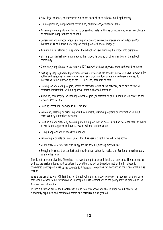- •Any illegal conduct, or statements which are deemed to be advocating illegal activity
- •Online gambling, inappropriate advertising, phishing and/or financial scams
- •Accessing, creating, storing, linking to or sending material that is pornographic, offensive, obscene or otherwise inappropriate or harmful
- Consensual and non-consensual sharing of nude and semi-nude images and/or videos and/or livestreams (also known as sexting or youth-produced sexual imagery)
- •Activity which defames or disparages the school, or risks bringing the school into disrepute
- Sharing confidential information about the school, its pupils, or other members of the school community
- Connecting any device to the school's ICT network without approval from authorised personnel
- Setting up any software, applications or web services on the school's network without approval by authorised personnel, or creating or using any program, tool or item of software designed to interfere with the functioning of the ICT facilities, accounts or data
- •Gaining, or attempting to gain, access to restricted areas of the network, or to any passwordprotected information, without approval from authorised personnel
- •Allowing, encouraging or enabling others to gain (or attempt to gain) unauthorised access to the school's ICT facilities
- Causing intentional damage to ICT facilities
- Removing, deleting or disposing of ICT equipment, systems, programs or information without permission by authorised personnel
- Causing a data breach by accessing, modifying, or sharing data (including personal data) to which a user is not supposed to have access, or without authorisation
- •Using inappropriate or offensive language
- Promoting a private business, unless that business is directly related to the school
- · Using websites or mechanisms to bypass the school's filtering mechanisms
- Engaging in content or conduct that is radicalised, extremist, racist, anti-Semitic or discriminatory in any other way

This is not an exhaustive list. The school reserves the right to amend this list at any time. The headteacher will use professional judgement to determine whether any act or behaviour not on the list above is considered unacceptable use of the school's ICT facilities. Exceptions can be found in the Unacceptable Use section.

Where the use of school ICT facilities (on the school premises and/or remotely) is required for a purpose that would otherwise be considered an unacceptable use, exemptions to the policy may be granted at the headteacher's discretion.

If such a situation arose, the headteacher would be approached and the situation would need to be sufficiently explained and considered before any permission was granted.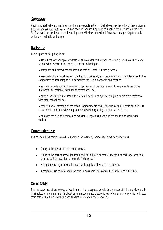# Sanctions

Pupils and staff who engage in any of the unacceptable activity listed above may face disciplinary action in line with the school's policies in the staff code of conduct. Copies of this policy can be found on the New Staff Network or can be accessed by asking Sam Wiltshaw, the school Business Manager. Copies of this policy are available on Parago.

# Rationale

The purpose of this policy is to:

- set out the key principles expected of all members of the school community at Harehills Primary School with respect to the use of ICT-based technologies.
- safeguard and protect the children and staff of Harehills Primary School.
- assist school staff working with children to work safely and responsibly with the Internet and other communication technologies and to monitor their own standards and practice.
- set clear expectations of behaviour and/or codes of practice relevant to responsible use of the Internet for educational, personal or recreational use.
- have clear structures to deal with online abuse such as cyberbullying which are cross referenced with other school policies.
- ensure that all members of the school community are aware that unlawful or unsafe behaviour is unacceptable and that, where appropriate, disciplinary or legal action will be taken.
- minimise the risk of misplaced or malicious allegations made against adults who work with students.

# Communication:

The policy will be communicated to staff/pupils/governors/community in the following ways:

- Policy to be posted on the school website
- Policy to be part of school induction pack for all staff to read at the start of each new academic year/as part of induction for new staff into school.
- Acceptable use agreements discussed with pupils at the start of each year.
- Acceptable use agreements to be held in classroom Investors in Pupils files and office files.

# Online Safety

The increased use of technology at work and at home exposes people to a number of risks and dangers. In its simplest form online safety is about ensuring people use electronic technologies in a way which will keep them safe without limiting their opportunities for creation and innovation.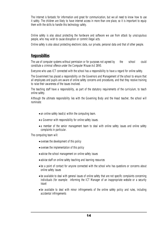The Internet is fantastic for information and great for communication, but we all need to know how to use it safely. The children are likely to have internet access in more than one place, so it is important to equip them with the skills to handle this technology safely.

Online safety is also about protecting the hardware and software we use from attack by unscrupulous people, who may wish to cause disruption or commit illegal acts.

Online safety is also about protecting electronic data, our private, personal data and that of other people.

#### **Responsibilities**

The use of computer systems without permission or for purposes not agreed by the school could constitute a criminal offence under the Computer Misuse Act 1990.

Everyone who uses ICT connected with the school has a responsibility to have a regard for online safety.

The Government has placed a responsibility on the Governors and Management of the school to ensure that all employees and pupils are aware of online safety concerns and procedures, and that they receive training to raise their awareness of the issues involved.

The teaching staff have a responsibility, as part of the statutory requirements of the curriculum, to teach online safety.

Although the ultimate responsibility lies with the Governing Body and the Head teacher, the school will nominate:

- an online safety lead(s) within the computing team.
- a Governor with responsibility for online safety issues.
- a member of the senior management team to deal with online safety issues and online safety complaints in particular.

The computing team will:

- oversee the development of this policy
- oversee the implementation of this policy
- advise the school management on online safety issues
- advise staff on online safety teaching and learning resources
- be a point of contact for anyone connected with the school who has questions or concerns about online safety issues
- be available to deal with general issues of online safety that are not specific complaints concerning individuals (for example: informing the ICT Manager of an inappropriate website or a security issue)
- be available to deal with minor infringements of the online safety policy and rules, including accidental infringements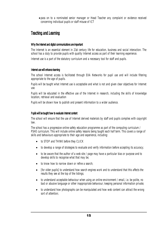• pass on to a nominated senior manager or Head Teacher any complaint or evidence received concerning individual pupils or staff misuse of ICT

# Teaching and Learning

#### Why the Internet and digital communications are important

The Internet is an essential element in 21st century life for education, business and social interaction. The school has a duty to provide pupils with quality Internet access as part of their learning experience.

Internet use is a part of the statutory curriculum and a necessary tool for staff and pupils.

#### Internet use will enhance learning

The school Internet access is facilitated through EXA Networks for pupil use and will include filtering appropriate to the age of pupils.

Pupils will be taught what Internet use is acceptable and what is not and given clear objectives for Internet use.

Pupils will be educated in the effective use of the Internet in research, including the skills of knowledge location, retrieval and evaluation

Pupils will be shown how to publish and present information to a wider audience.

#### Pupils will be taught how to evaluate Internet content

The school will ensure that the use of Internet derived materials by staff and pupils complies with copyright law.

The school has a progressive online safety education programme as part of the computing curriculum / PSHE curriculum. This will include online safety lessons being taught each half term. This covers a range of skills and behaviours appropriate to their age and experience, including:

- to STOP and THINK before they CLICK
- to develop a range of strategies to evaluate and verify information before accepting its accuracy;
- to be aware that the author of a web site / page may have a particular bias or purpose and to develop skills to recognise what that may be;
- to know how to narrow down or refine a search;
- [for older pupils] to understand how search engines work and to understand that this affects the results they see at the top of the listings;
- to understand acceptable behaviour when using an online environment / email, i.e. be polite, no bad or abusive language or other inappropriate behaviour; keeping personal information private;
- to understand how photographs can be manipulated and how web content can attract the wrong sort of attention;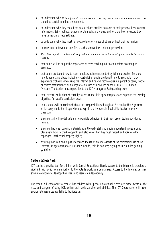- to understand why on-line 'friends' may not be who they say they are and to understand why they should be careful in online environments;
- to understand why they should not post or share detailed accounts of their personal lives, contact information, daily routines, location, photographs and videos and to know how to ensure they have turned-on privacy settings;
- to understand why they must not post pictures or videos of others without their permission;
- to know not to download any files such as music files without permission;
- [for older pupils] to understand why and how some people will 'groom' young people for sexual reasons;
- that pupils will be taught the importance of cross-checking information before accepting its accuracy.
- that pupils are taught how to report unpleasant Internet content by telling a teacher. To know how to report any abuse including cyberbullying; pupils are taught how to seek help if they experience problems when using the Internet and related technologies, i.e. parent or carer, teacher or trusted staff member, or an organisation such as ChildLine or the CLICK CEOP button (Hectar). The teacher must report this to the ICT Manager or Safeguarding team.
- that Internet use is planned carefully to ensure that it is age-appropriate and supports the learning objectives for specific curriculum areas.
- that students will be reminded about their responsibilities through an Acceptable Use Agreement which every student will sign which be kept in the Investors in Pupils File located in every classroom
- ensuring staff will model safe and responsible behaviour in their own use of technology during lessons.
- ensuring that when copying materials from the web, staff and pupils understand issues around plagiarism; how to check copyright and also know that they must respect and acknowledge copyright / intellectual property rights;
- ensuring that staff and pupils understand the issues around aspects of the commercial use of the Internet, as age appropriate. This may include, risks in pop-ups; buying on-line; on-line gaming / gambling;

#### Children with Special Needs

ICT can be a positive tool for children with Special Educational Needs. Access to the Internet is therefore a vital link with which communication to the outside world can be achieved. Access to the Internet can also stimulate children to develop their ideas and research independently.

The school will endeavour to ensure that children with Special Educational Needs are made aware of the risks and dangers of using ICT, within their understanding and abilities. The ICT Coordinator will make appropriate resources available to facilitate this.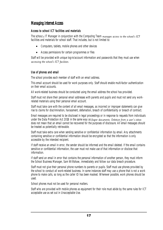# Managing Internet Access

#### Access to school ICT facilities and materials

The school's IT Manager in conjunction with the Computing Team manages access to the school's ICT facilities and materials for school staff. That includes, but is not limited to:

- Computers, tablets, mobile phones and other devices
- Access permissions for certain programmes or files

Staff will be provided with unique log-in/account information and passwords that they must use when accessing the school's ICT facilities.

#### Use of phones and email

The school provides each member of staff with an email address.

This email account should be used for work purposes only. Staff should enable multi-factor authentication on their email accounts.

All work-related business should be conducted using the email address the school has provided.

Staff must not share their personal email addresses with parents and pupils and must not send any workrelated materials using their personal email account.

Staff must take care with the content of all email messages, as incorrect or improper statements can give rise to claims for discrimination, harassment, defamation, breach of confidentiality or breach of contract.

Email messages are required to be disclosed in legal proceedings or in response to requests from individuals under the Data Protection Act 2018 in the same way as paper documents. Deletion from a user's inbox does not mean that an email cannot be recovered for the purposes of disclosure. All email messages should be treated as potentially retrievable.

Staff must take extra care when sending sensitive or confidential information by email. Any attachments containing sensitive or confidential information should be encrypted so that the information is only accessible by the intended recipient.

If staff receive an email in error, the sender should be informed and the email deleted. If the email contains sensitive or confidential information, the user must not make use of that information or disclose that information.

If staff send an email in error that contains the personal information of another person, they must inform the School Business Manager, Sam Willtshaw, immediately and follow our data breach procedure.

Staff must not give their personal phone numbers to parents or pupils. Staff must use phones provided by the school to conduct all work-related business. In some instances staff may use a phone that is not a work phone to make calls, so long as the caller ID has been masked. Wherever possible, work phones should be used.

School phones must not be used for personal matters.

Staff who are provided with mobile phones as equipment for their role must abide by the same rules for ICT acceptable use as set out in Unacceptable Use.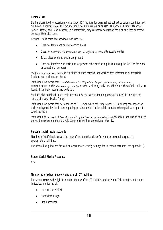#### Personal use

Staff are permitted to occasionally use school ICT facilities for personal use subject to certain conditions set out below. Personal use of ICT facilities must not be overused or abused. The School Business Manager, Sam Willshaw, and Head Teacher, Jo Summerfield, may withdraw permission for it at any time or restrict access at their discretion.

Personal use is permitted provided that such use:

- Does not take place during teaching hours
- Does not constitute 'unacceptable use', as defined in section Unacceptable Use
- Takes place when no pupils are present
- Does not interfere with their jobs, or prevent other staff or pupils from using the facilities for work or educational purposes

Staff may not use the school's ICT facilities to store personal non-work-related information or materials (such as music, videos or photos).

Staff should be aware that use of the school's ICT facilities for personal use may put personal communications within the scope of the school's ICT monitoring activities. Where breaches of this policy are found, disciplinary action may be taken.

Staff are also permitted to use their personal devices (such as mobile phones or tablets) in line with the school's Personal Device Policy.

Staff should be aware that personal use of ICT (even when not using school ICT facilities) can impact on their employment by, for instance, putting personal details in the public domain, where pupils and parents could see them.

Staff should take care to follow the school's quidelines on social media (see appendix 1) and use of email to protect themselves online and avoid compromising their professional integrity.

#### Personal social media accounts

Members of staff should ensure their use of social media, either for work or personal purposes, is appropriate at all times.

The school has guidelines for staff on appropriate security settings for Facebook accounts (see appendix 1).

#### School Social Media Accounts

N/A

#### Monitoring of school network and use of ICT facilities

The school reserves the right to monitor the use of its ICT facilities and network. This includes, but is not limited to, monitoring of:

- Internet sites visited
- Bandwidth usage
- Email accounts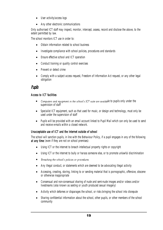- User activity/access logs
- Any other electronic communications

Only authorised ICT staff may inspect, monitor, intercept, assess, record and disclose the above, to the extent permitted by law.

The school monitors ICT use in order to:

- Obtain information related to school business
- Investigate compliance with school policies, procedures and standards
- Ensure effective school and ICT operation
- Conduct training or quality control exercises
- Prevent or detect crime
- Comply with a subject access request, Freedom of Information Act request, or any other legal obligation

# Pupils

#### Access to ICT facilities

- Computers and equipment in the school's ICT suite are available to pupils only under the supervision of staff
- Specialist ICT equipment, such as that used for music, or design and technology, must only be used under the supervision of staff
- Pupils will be provided with an email account linked to Pupil Mail which can only be used to send and receive e-mails within a closed network.

#### Unacceptable use of ICT and the internet outside of school

The school will sanction pupils, in line with the Behaviour Policy, if a pupil engages in any of the following at any time (even if they are not on school premises):

- Using ICT or the internet to breach intellectual property rights or copyright
- Using ICT or the internet to bully or harass someone else, or to promote unlawful discrimination
- Breaching the school's policies or procedures
- Any illegal conduct, or statements which are deemed to be advocating illegal activity
- Accessing, creating, storing, linking to or sending material that is pornographic, offensive, obscene or otherwise inappropriate
- Consensual and non-consensual sharing of nude and semi-nude images and/or videos and/or livestreams (also known as sexting or youth produced sexual imagery)
- Activity which defames or disparages the school, or risks bringing the school into disrepute
- Sharing confidential information about the school, other pupils, or other members of the school community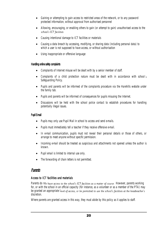- Gaining or attempting to gain access to restricted areas of the network, or to any password protected information, without approval from authorised personnel
- Allowing, encouraging, or enabling others to gain (or attempt to gain) unauthorised access to the school's ICT facilities
- Causing intentional damage to ICT facilities or materials
- Causing a data breach by accessing, modifying, or sharing data (including personal data) to which a user is not supposed to have access, or without authorisation
- Using inappropriate or offensive language

#### Handling online safety complaints

- Complaints of Internet misuse will be dealt with by a senior member of staff.
- Complaints of a child protection nature must be dealt with in accordance with school's Safeguarding Policy.
- Pupils and parents will be informed of the complaints procedure via the Harehills website under the family tab.
- Pupils and parents will be informed of consequences for pupils misusing the Internet.
- Discussions will be held with the school police contact to establish procedures for handling potentially illegal issues.

#### Pupil E-mail

- Pupils may only use Pupil Mail in school to access and send e-mails.
- Pupils must immediately tell a teacher if they receive offensive e-mail.
- In e-mail communication, pupils must not reveal their personal details or those of others, or arrange to meet anyone without specific permission.
- Incoming e-mail should be treated as suspicious and attachments not opened unless the author is known.
- Pupil email is limited to internal use only.
- The forwarding of chain letters is not permitted.

#### Parents

#### Access to ICT facilities and materials

Parents do not have access to the school's ICT facilities as a matter of course. However, parents working for, or with the school in an official capacity (for instance, as a volunteer or as a member of the PTA) may be granted an appropriate level of access, or be permitted to use the school's facilities at the headteacher's discretion.

Where parents are granted access in this way, they must abide by this policy as it applies to staff.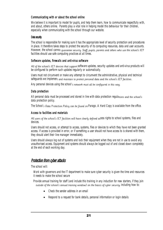#### Communicating with or about the school online

We believe it is important to model for pupils, and help them learn, how to communicate respectfully with, and about, others online. Parents play a vital role in helping model this behaviour for their children, especially when communicating with the school through our website.

#### Data security

The school is responsible for making sure it has the appropriate level of security protection and procedures in place. It therefore takes steps to protect the security of its computing resources, data and user accounts. However, the school cannot quarantee security. Staff, pupils, parents and others who use the school's ICT facilities should use safe computing practices at all times.

#### Software updates, firewalls and anti-virus software

All of the school's ICT devices that support software updates, security updates and anti-virus products will be configured to perform such updates regularly or automatically.

Users must not circumvent or make any attempt to circumvent the administrative, physical and technical safeguards we implement and maintain to protect personal data and the school's ICT facilities.

Any personal devices using the school's network must all be configured in this way.

#### Data protection

All personal data must be processed and stored in line with data protection regulations and the school's data protection policy.

The School's Data Protection Policy can be found on Parago. A Hard Copy is available from the office.

#### Access to facilities and materials

All users of the school's ICT facilities will have clearly defined access rights to school systems, files and devices.

Users should not access, or attempt to access, systems, files or devices to which they have not been granted access. If access is provided in error, or if something a user should not have access to is shared with them, they should alert their line manager immediately.

Users should always log out of systems and lock their equipment when they are not in use to avoid any unauthorised access. Equipment and systems should always be logged out of and closed down completely at the end of each working day.

# Protection from cyber attacks

The school will:

Work with governors and the IT department to make sure cyber security is given the time and resources it needs to make the school secure

Provide annual training for staff (and include this training in any induction for new starters, if they join outside of the school's annual training window) on the basics of cyber security, including how to:

- Check the sender address in an email
- Respond to a request for bank details, personal information or login details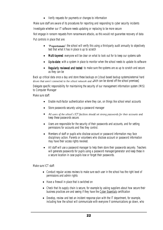• Verify requests for payments or changes to information

Make sure staff are aware of its procedures for reporting and responding to cyber security incidents Investigate whether our IT software needs updating or replacing to be more secure

Not engage in ransom requests from ransomware attacks, as this would not guarantee recovery of data Put controls in place that are:

- **Proportionate**': the school will verify this using a third-party audit annually to objectively test that what it has in place is up to scratch
- Multi-layered: everyone will be clear on what to look out for to keep our systems safe
- Up-to-date: with a system in place to monitor when the school needs to update its software
- **Regularly reviewed and tested:** to make sure the systems are as up to scratch and secure as they can be

Back up critical data once a day and store these backups on [cloud based backup systems/external hard drives that aren't connected to the school network and which can be stored off the school premises]

Delegate specific responsibility for maintaining the security of our management information system (MIS) to Computer Manager

Make sure staff:

- Enable multi-factor authentication where they can, on things like school email accounts
- Store passwords securely using a password manager
- All users of the school's ICT facilities should set strong passwords for their accounts and keep these passwords secure.
- Users are responsible for the security of their passwords and accounts, and for setting permissions for accounts and files they control.
- Members of staff or pupils who disclose account or password information may face disciplinary action. Parents or volunteers who disclose account or password information may have their access rights revoked.
- All staff will use a password manager to help them store their passwords securely. Teachers will generate passwords for pupils using a password manager/generator and keep these in a secure location in case pupils lose or forget their passwords.

Make sure ICT staff:

- Conduct regular access reviews to make sure each user in the school has the right level of permissions and admin rights
- Have a firewall in place that is switched on
- Check that its supply chain is secure, for example by asking suppliers about how secure their business practices are and seeing if they have the [Cyber Essentials](https://www.ncsc.gov.uk/cyberessentials/overview) certification
- Develop, review and test an incident response plan with the IT department, for example, including how the school will communicate with everyone if communications go down, who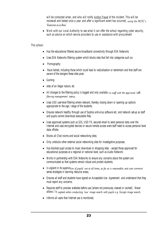will be contacted when, and who will notify [Action Fraud](https://www.actionfraud.police.uk/) of the incident. This will be reviewed and tested once a year and after a significant event has occurred, using the NCSC's 'Exercise in a Box'

• Work with our Local Authority to see what it can offer the school regarding cyber security, such as advice on which service providers to use or assistance with procurement

This school:

- Has the educational filtered secure broadband connectivity through EXA Networks
- Uses EXA Networks filtering system which blocks sites that fall into categories such as:
- Pornography
- Race hatred, including those which could lead to radicalisation or extremism and that staff are aware of the dangers these sites pose
- Gaming
- sites of an illegal nature, etc
- All changes to the filtering policy is logged and only available to staff with the approved 'web filtering management' status;
- Uses USO user-level filtering where relevant, thereby closing down or opening up options appropriate to the age / stage of the students;
- Ensures network healthy through use of Sophos anti-virus software etc. and network set-up so staff and pupils cannot download executable files;
- Uses approved systems such as S2S, USO FX, secured email to send personal data over the Internet and uses encrypted devices or secure remote access were staff need to access personal level data off-site;
- Blocks all Chat rooms and social networking sites;
- Only unblocks other external social networking sites for investigative purposes;
- $\bullet$  Has blocked pupil access to music download or shopping sites  $-$  except those approved for educational purposes at a regional or national level, such as Audio Network;
- Works in partnership with EXA Networks to ensure any concerns about the system are communicated so that systems remain robust and protect students;
- Is vigilant in its supervision of pupils' use at all times, as far as is reasonable, and uses commonsense strategies in learning resource areas;
- Ensures all staff and students have signed an Acceptable Use Agreement and understand that they must report any concerns;
- Requires staff to preview websites before use [where not previously viewed or cached] . Never allows / Is vigilant when conducting 'raw' image search with pupils e.g. Google image search;
- Informs all users that Internet use is monitored;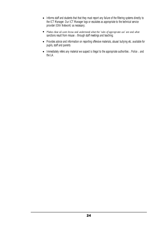- Informs staff and students that that they must report any failure of the filtering systems directly to the ICT Manager. Our ICT Manager logs or escalates as appropriate to the technical service provider (EXA Network) as necessary;
- Makes clear all users know and understand what the 'rules of appropriate use' are and what sanctions result from misuse – through staff meetings and teaching;
- Provides advice and information on reporting offensive materials, abuse/ bullying etc. available for pupils, staff and parents
- Immediately refers any material we suspect is illegal to the appropriate authorities Police and the LA.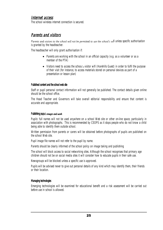#### Internet access

The school wireless internet connection is secured.

# Parents and visitors

Parents and visitors to the school will not be permitted to use the school's will unless specific authorisation is granted by the headteacher.

The headteacher will only grant authorisation if:

- Parents are working with the school in an official capacity (e.g. as a volunteer or as a member of the PTA)
- $\bullet$  Visitors need to access the school's visitor wifi (Harehills Guest) in order to fulfil the purpose of their visit (for instance, to access materials stored on personal devices as part of a presentation or lesson plan)

#### Published content and the school web site

Staff or pupil personal contact information will not generally be published. The contact details given online should be the school office.

The Head Teacher and Governors will take overall editorial responsibility and ensure that content is accurate and appropriate.

#### Publishing pupil's images and work

Pupils' full names will not be used anywhere on a school Web site or other on-line space, particularly in association with photographs. This is recommended by CEOPS as it stops people who do not know a child being able to identify them outside school.

Written permission from parents or carers will be obtained before photographs of pupils are published on the school Web site.

Pupil image file names will not refer to the pupil by name.

Parents should be clearly informed of the school policy on image taking and publishing

The school will block access to social networking sites. Although the school recognises that primary age children should not be on social media sites it will consider how to educate pupils in their safe use.

Newsgroups will be blocked unless a specific use is approved.

Pupils will be advised never to give out personal details of any kind which may identify them, their friends or their location.

#### Managing technologies

Emerging technologies will be examined for educational benefit and a risk assessment will be carried out before use in school is allowed.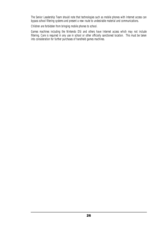The Senior Leadership Team should note that technologies such as mobile phones with Internet access can bypass school filtering systems and present a new route to undesirable material and communications.

Children are forbidden from bringing mobile phones to school.

Games machines including the Nintendo DSi and others have Internet access which may not include filtering. Care is required in any use in school or other officially sanctioned location. This must be taken into consideration for further purchases of handheld games machines.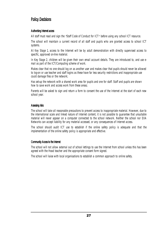#### Policy Decisions

#### Authorising Internet access

All staff must read and sign the "Staff Code of Conduct for ICT" before using any school ICT resource.

The school will maintain a current record of all staff and pupils who are granted access to school ICT systems.

At Key Stage 1, access to the Internet will be by adult demonstration with directly supervised access to specific, approved on-line material.

In Key Stage 2, children will be given their own email account details. They are introduced to, and use email as part of the ICT/Computing scheme of work.

Makes clear that no one should log on as another user and makes clear that pupils should never be allowed to log-on or use teacher and staff logins as these have far less security restrictions and inappropriate use could damage files or the network;

Has set-up the network with a shared work area for pupils and one for staff. Staff and pupils are shown how to save work and access work from these areas;

Parents will be asked to sign and return a form to consent the use of the Internet at the start of each new school year.

#### Assessing risks

The school will take all reasonable precautions to prevent access to inappropriate material. However, due to the international scale and linked nature of Internet content, it is not possible to guarantee that unsuitable material will never appear on a computer connected to the school network. Neither the school nor EXA Networks can accept liability for any material accessed, or any consequences of Internet access.

The school should audit ICT use to establish if the online safety policy is adequate and that the implementation of the online safety policy is appropriate and effective.

#### Community Access to the Internet

The school will not allow external out of school lettings to use the Internet from school unless this has been agreed with the Head teacher and the appropriate consent form signed.

The school will liaise with local organisations to establish a common approach to online safety.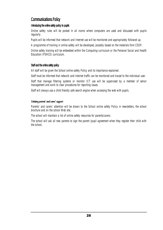#### Communications Policy

#### Introducing the online safety policy to pupils

Online safety rules will be posted in all rooms where computers are used and discussed with pupils regularly.

Pupils will be informed that network and Internet use will be monitored and appropriately followed up.

A programme of training in online safety will be developed, possibly based on the materials from CEOP.

Online safety training will be embedded within the Computing curriculum or the Personal Social and Health Education (PSHCE) curriculum.

#### Staff and the online safety policy

All staff will be given the School online safety Policy and its importance explained.

Staff must be informed that network and Internet traffic can be monitored and traced to the individual user.

Staff that manage filtering systems or monitor ICT use will be supervised by a member of senior management and work to clear procedures for reporting issues.

Staff will always use a child friendly safe search engine when accessing the web with pupils.

#### Enlisting parents' and carers' support

Parents' and carers' attention will be drawn to the School online safety Policy in newsletters, the school brochure and on the school Web site.

The school will maintain a list of online safety resources for parents/carers.

The school will ask all new parents to sign the parent /pupil agreement when they register their child with the school.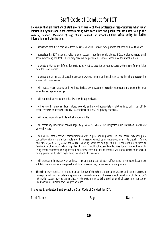# Staff Code of Conduct for ICT

To ensure that all members of staff are fully aware of their professional responsibilities when using information systems and when communicating with each other and pupils, you are asked to sign this code of conduct. Members of staff should consult the school's Online safety policy for further information and clarification.

- I understand that it is a criminal offence to use a school ICT system for a purpose not permitted by its owner.
- I appreciate that ICT includes a wide range of systems, including mobile phones, PDAs, digital cameras, email, social networking and that ICT use may also include personal ICT devices when used for school business.
- I understand that school information systems may not be used for private purposes without specific permission from the Head teacher.
- I understand that my use of school information systems, Internet and email may be monitored and recorded to ensure policy compliance.
- I will respect system security and I will not disclose any password or security information to anyone other than an authorised system manager.
- I will not install any software or hardware without permission.
- I will ensure that personal data is stored securely and is used appropriately, whether in school, taken off the school premises or accessed remotely in accordance to the GDPR privacy statement.
- I will respect copyright and intellectual property rights.
- I will report any incidents of concern regarding children's safety to the Designated Child Protection Coordinator or Head teacher.
- I will ensure that electronic communications with pupils including email, IM and social networking are compatible with my professional role and that messages cannot be misunderstood or misinterpreted. (Do not add current pupils as "friends" and consider carefully about the ex-pupils still in FT education as "friends" on Facebook or other social networking sites.) I know I should not access these facilities during directed time or by using school equipment. During access to such sites either in or out of school, I will not comment on this school or any persons in it, which might bring the school into disrepute.
- I will promote online safety with students in my care at the start of each half term and in computing lessons and will help them to develop a responsible attitude to system use, communications and publishing.
- The school may exercise its right to monitor the use of the school's information systems and Internet access, to intercept email and to delete inappropriate materials where it believes unauthorised use of the school's information system may be taking place, or the system may be being used for criminal purposes or for storing unauthorised or unlawful text, imagery or sound.

#### I have read, understood and accept the Staff Code of Conduct for ICT.

| $\neg$<br>۷۲<br>AL. |  |  |
|---------------------|--|--|
|---------------------|--|--|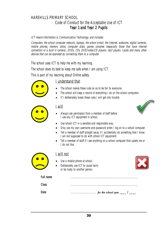# HAREHILLS PRIMARY SCHOOL Code of Conduct for the Acceptable Use of ICT Year 1 and Year 2 Pupils

ICT means Information & Communication Technology and includes:

Computers, the school computer network, laptops, the school e-mail, the Internet, webcams, digital cameras, mobile phones, memory sticks, computer disks, games consoles (especially those that have internet connection or a built in camera), DVDs, CDs, DVD/video/CD players, mp3 payers, I-pods and many other devices that can be operated by connecting them to a computer.

The school uses ICT to help me with my learning.

The school does its best to keep me safe when I am using ICT.

This is part of my learning about Online safety.



#### I understand that

- The school makes these rules so as to be fair to everyone.
- The school will keep a record of everything I do on the school computers.
- If I deliberately break these rules I will get into trouble.



#### I will

• Always ask permission from a member of staff before I use any ICT equipment in school.



- Use school ICT in a sensible and responsible way.
- Only use my own username and password when I log on to a school computer.
- Tell a member of staff straight away if I accidentally do something that I know I am not supposed to do with school ICT equipment.
- Tell a member of staff if I see anything on a school computer that upsets me or I do not like.



#### I will not

- Use a mobile phone at school.
- Deliberately use ICT to cause harm or be nasty to another person.



| Full name |   |
|-----------|---|
| `lacc     | . |
| ∩at∆      |   |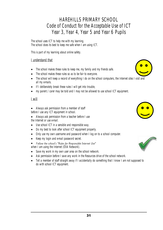# HAREHILLS PRIMARY SCHOOL Code of Conduct for the Acceptable Use of ICT Year 3, Year 4, Year 5 and Year 6 Pupils

The school uses ICT to help me with my learning. The school does its best to keep me safe when I am using ICT.

This is part of my learning about online safety.

#### I understand that

- The school makes these rules to keep me, my family and my friends safe.
- The school makes these rules so as to be fair to everyone.
- The school will keep a record of everything I do on the school computers, the Internet sites I visit and all my e-mails.
- If I deliberately break these rules I will get into trouble,
- my parent / carer may be told and I may not be allowed to use school ICT equipment.

#### I will

- Always ask permission from a member of staff before I use any ICT equipment in school.
- Always ask permission from a teacher before I use the Internet or use e-mail.
- Use school ICT in a sensible and responsible way.
- Do my best to look after school ICT equipment properly.
- Only use my own username and password when I log on to a school computer.
- Keep my login and e-mail password secret.
- Follow the school's "Rules for Responsible Internet Use"
- when I am using the Internet (EXA Network).
- Save my work in my own user area on the school network.
- Ask permission before I save any work in the Resources drive of the school network.
- Tell a member of staff straight away if I accidentally do something that I know I am not supposed to do with school ICT equipment.